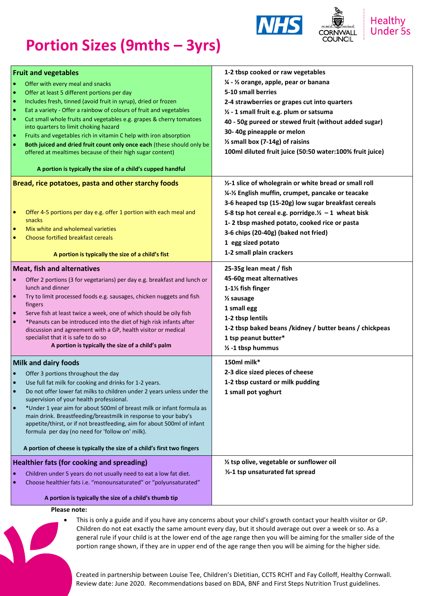



## **Portion Sizes (9mths – 3yrs)**

| <b>Fruit and vegetables</b>                                                                                                          | 1-2 tbsp cooked or raw vegetables                                                                             |
|--------------------------------------------------------------------------------------------------------------------------------------|---------------------------------------------------------------------------------------------------------------|
| Offer with every meal and snacks<br>$\bullet$                                                                                        | 1/4 - 1/2 orange, apple, pear or banana                                                                       |
| Offer at least 5 different portions per day<br>$\bullet$                                                                             | 5-10 small berries                                                                                            |
| Includes fresh, tinned (avoid fruit in syrup), dried or frozen<br>$\bullet$                                                          | 2-4 strawberries or grapes cut into quarters                                                                  |
| Eat a variety - Offer a rainbow of colours of fruit and vegetables<br>$\bullet$                                                      | 1/2 - 1 small fruit e.g. plum or satsuma                                                                      |
| $\bullet$<br>Cut small whole fruits and vegetables e.g. grapes & cherry tomatoes                                                     | 40 - 50g pureed or stewed fruit (without added sugar)                                                         |
| into quarters to limit choking hazard                                                                                                | 30-40g pineapple or melon                                                                                     |
| Fruits and vegetables rich in vitamin C help with iron absorption<br>$\bullet$                                                       | 1/2 small box (7-14g) of raisins                                                                              |
| Both juiced and dried fruit count only once each (these should only be<br>$\bullet$                                                  | 100ml diluted fruit juice (50:50 water:100% fruit juice)                                                      |
| offered at mealtimes because of their high sugar content)                                                                            |                                                                                                               |
| A portion is typically the size of a child's cupped handful                                                                          |                                                                                                               |
| Bread, rice potatoes, pasta and other starchy foods                                                                                  | 1/2-1 slice of wholegrain or white bread or small roll<br>1/4-1/2 English muffin, crumpet, pancake or teacake |
|                                                                                                                                      |                                                                                                               |
|                                                                                                                                      | 3-6 heaped tsp (15-20g) low sugar breakfast cereals                                                           |
| Offer 4-5 portions per day e.g. offer 1 portion with each meal and<br>$\bullet$<br>snacks                                            | 5-8 tsp hot cereal e.g. porridge. $1/2$ -1 wheat bisk                                                         |
| Mix white and wholemeal varieties<br>$\bullet$                                                                                       | 1-2 tbsp mashed potato, cooked rice or pasta                                                                  |
| Choose fortified breakfast cereals<br>$\bullet$                                                                                      | 3-6 chips (20-40g) (baked not fried)                                                                          |
|                                                                                                                                      | 1 egg sized potato                                                                                            |
| A portion is typically the size of a child's fist                                                                                    | 1-2 small plain crackers                                                                                      |
| <b>Meat, fish and alternatives</b>                                                                                                   | 25-35g lean meat / fish                                                                                       |
| Offer 2 portions (3 for vegetarians) per day e.g. breakfast and lunch or<br>$\bullet$                                                | 45-60g meat alternatives                                                                                      |
| lunch and dinner                                                                                                                     | 1-1½ fish finger                                                                                              |
| Try to limit processed foods e.g. sausages, chicken nuggets and fish<br>$\bullet$                                                    | $\frac{1}{2}$ sausage                                                                                         |
| fingers                                                                                                                              | 1 small egg                                                                                                   |
| Serve fish at least twice a week, one of which should be oily fish<br>$\bullet$<br>$\bullet$                                         | 1-2 tbsp lentils                                                                                              |
| *Peanuts can be introduced into the diet of high risk infants after<br>discussion and agreement with a GP, health visitor or medical | 1-2 tbsp baked beans /kidney / butter beans / chickpeas                                                       |
| specialist that it is safe to do so                                                                                                  | 1 tsp peanut butter*                                                                                          |
| A portion is typically the size of a child's palm                                                                                    | 1/2 -1 tbsp hummus                                                                                            |
| <b>Milk and dairy foods</b>                                                                                                          | 150ml milk*                                                                                                   |
| Offer 3 portions throughout the day                                                                                                  | 2-3 dice sized pieces of cheese                                                                               |
| Use full fat milk for cooking and drinks for 1-2 years.                                                                              | 1-2 tbsp custard or milk pudding                                                                              |
| Do not offer lower fat milks to children under 2 years unless under the<br>$\bullet$                                                 | 1 small pot yoghurt                                                                                           |
| supervision of your health professional.                                                                                             |                                                                                                               |
| *Under 1 year aim for about 500ml of breast milk or infant formula as<br>$\bullet$                                                   |                                                                                                               |
| main drink. Breastfeeding/breastmilk in response to your baby's                                                                      |                                                                                                               |
| appetite/thirst, or if not breastfeeding, aim for about 500ml of infant<br>formula per day (no need for 'follow on' milk).           |                                                                                                               |
|                                                                                                                                      |                                                                                                               |
| A portion of cheese is typically the size of a child's first two fingers                                                             |                                                                                                               |
| Healthier fats (for cooking and spreading)                                                                                           | 1/2 tsp olive, vegetable or sunflower oil                                                                     |
| Children under 5 years do not usually need to eat a low fat diet.                                                                    | 1/2-1 tsp unsaturated fat spread                                                                              |
| Choose healthier fats i.e. "monounsaturated" or "polyunsaturated"                                                                    |                                                                                                               |
| A portion is typically the size of a child's thumb tip                                                                               |                                                                                                               |
|                                                                                                                                      |                                                                                                               |

**Please note:**

 This is only a guide and if you have any concerns about your child's growth contact your health visitor or GP. Children do not eat exactly the same amount every day, but it should average out over a week or so. As a general rule if your child is at the lower end of the age range then you will be aiming for the smaller side of the portion range shown, if they are in upper end of the age range then you will be aiming for the higher side.

Created in partnership between Louise Tee, Children's Dietitian, CCTS RCHT and Fay Colloff, Healthy Cornwall. Review date: June 2020. Recommendations based on BDA, BNF and First Steps Nutrition Trust guidelines.